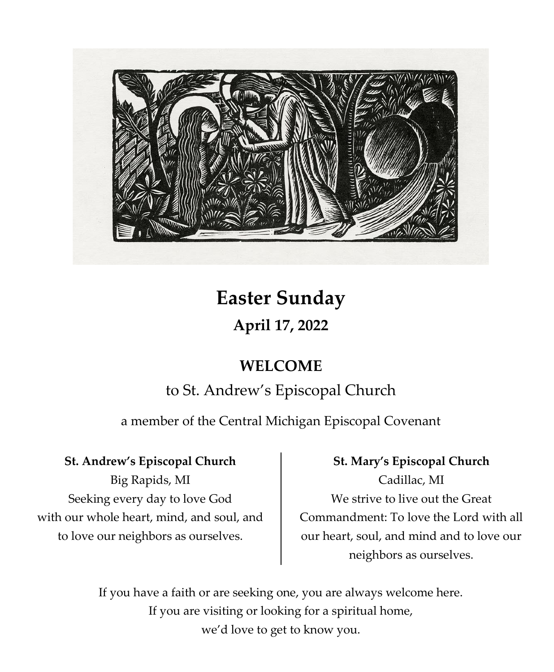

# **Easter Sunday April 17, 2022**

# **WELCOME**

# to St. Andrew's Episcopal Church

a member of the Central Michigan Episcopal Covenant

# **St. Andrew's Episcopal Church**

Big Rapids, MI Seeking every day to love God with our whole heart, mind, and soul, and to love our neighbors as ourselves.

# **St. Mary's Episcopal Church**

Cadillac, MI We strive to live out the Great Commandment: To love the Lord with all our heart, soul, and mind and to love our neighbors as ourselves.

If you have a faith or are seeking one, you are always welcome here. If you are visiting or looking for a spiritual home, we'd love to get to know you.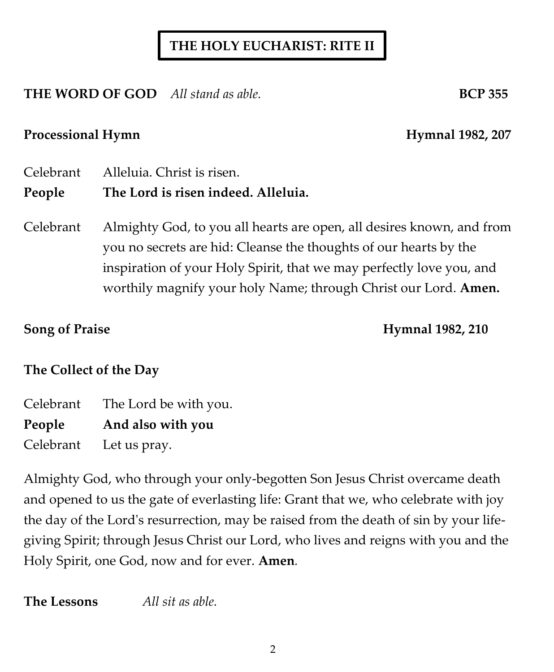# **THE HOLY EUCHARIST: RITE II**

**THE WORD OF GOD** All stand as able. **BCP 355** 

### Processional Hymn **Hymnal 1982, 207**

- Celebrant Alleluia. Christ is risen. **People The Lord is risen indeed. Alleluia.**
- Celebrant Almighty God, to you all hearts are open, all desires known, and from you no secrets are hid: Cleanse the thoughts of our hearts by the inspiration of your Holy Spirit, that we may perfectly love you, and worthily magnify your holy Name; through Christ our Lord. **Amen.**

**Song of Praise Hymnal 1982, 210** 

# **The Collect of the Day**

Celebrant The Lord be with you. **People And also with you** Celebrant Let us pray.

Almighty God, who through your only-begotten Son Jesus Christ overcame death and opened to us the gate of everlasting life: Grant that we, who celebrate with joy the day of the Lord's resurrection, may be raised from the death of sin by your lifegiving Spirit; through Jesus Christ our Lord, who lives and reigns with you and the Holy Spirit, one God, now and for ever. **Amen***.*

**The Lessons** *All sit as able.*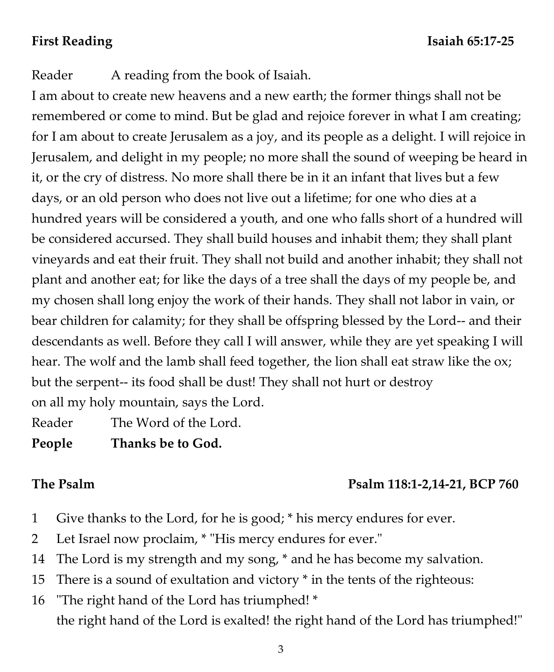Reader A reading from the book of Isaiah.

I am about to create new heavens and a new earth; the former things shall not be remembered or come to mind. But be glad and rejoice forever in what I am creating; for I am about to create Jerusalem as a joy, and its people as a delight. I will rejoice in Jerusalem, and delight in my people; no more shall the sound of weeping be heard in it, or the cry of distress. No more shall there be in it an infant that lives but a few days, or an old person who does not live out a lifetime; for one who dies at a hundred years will be considered a youth, and one who falls short of a hundred will be considered accursed. They shall build houses and inhabit them; they shall plant vineyards and eat their fruit. They shall not build and another inhabit; they shall not plant and another eat; for like the days of a tree shall the days of my people be, and my chosen shall long enjoy the work of their hands. They shall not labor in vain, or bear children for calamity; for they shall be offspring blessed by the Lord-- and their descendants as well. Before they call I will answer, while they are yet speaking I will hear. The wolf and the lamb shall feed together, the lion shall eat straw like the ox; but the serpent-- its food shall be dust! They shall not hurt or destroy on all my holy mountain, says the Lord.

Reader The Word of the Lord.

**People Thanks be to God.**

# **The Psalm Psalm 118:1-2,14-21, BCP 760**

- 1 Give thanks to the Lord, for he is good; \* his mercy endures for ever.
- 2 Let Israel now proclaim, \* "His mercy endures for ever."
- 14 The Lord is my strength and my song, \* and he has become my salvation.
- 15 There is a sound of exultation and victory \* in the tents of the righteous:
- 16 "The right hand of the Lord has triumphed! \* the right hand of the Lord is exalted! the right hand of the Lord has triumphed!"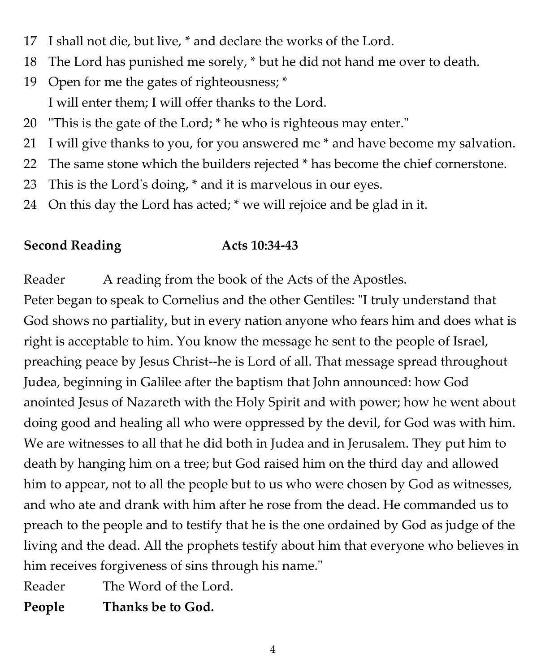- 17 I shall not die, but live, \* and declare the works of the Lord.
- 18 The Lord has punished me sorely, \* but he did not hand me over to death.
- 19 Open for me the gates of righteousness; \* I will enter them; I will offer thanks to the Lord.
- 20 "This is the gate of the Lord; \* he who is righteous may enter."
- 21 I will give thanks to you, for you answered me \* and have become my salvation.
- 22 The same stone which the builders rejected \* has become the chief cornerstone.
- 23 This is the Lord's doing, \* and it is marvelous in our eyes.
- 24 On this day the Lord has acted; \* we will rejoice and be glad in it.

# **Second Reading Acts 10:34-43**

Reader A reading from the book of the Acts of the Apostles.

Peter began to speak to Cornelius and the other Gentiles: "I truly understand that God shows no partiality, but in every nation anyone who fears him and does what is right is acceptable to him. You know the message he sent to the people of Israel, preaching peace by Jesus Christ--he is Lord of all. That message spread throughout Judea, beginning in Galilee after the baptism that John announced: how God anointed Jesus of Nazareth with the Holy Spirit and with power; how he went about doing good and healing all who were oppressed by the devil, for God was with him. We are witnesses to all that he did both in Judea and in Jerusalem. They put him to death by hanging him on a tree; but God raised him on the third day and allowed him to appear, not to all the people but to us who were chosen by God as witnesses, and who ate and drank with him after he rose from the dead. He commanded us to preach to the people and to testify that he is the one ordained by God as judge of the living and the dead. All the prophets testify about him that everyone who believes in him receives forgiveness of sins through his name."

Reader The Word of the Lord.

**People Thanks be to God.**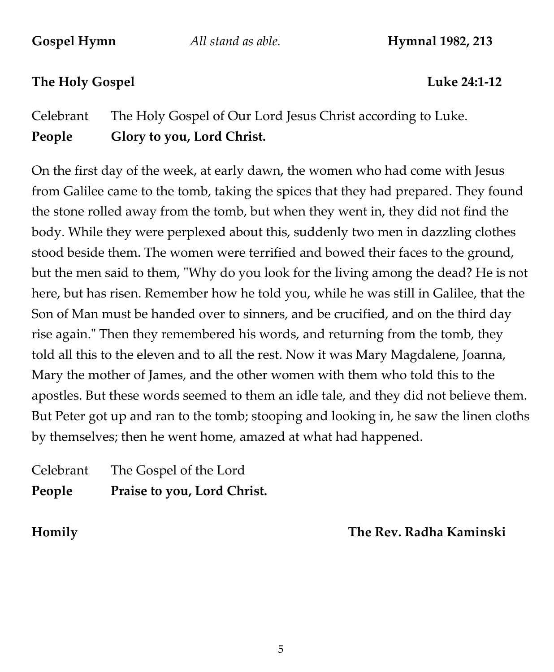**Gospel Hymn** *All stand as able.* **Hymnal 1982, 213**

## **The Holy Gospel Luke 24:1-12**

Celebrant The Holy Gospel of Our Lord Jesus Christ according to Luke. **People Glory to you, Lord Christ.**

On the first day of the week, at early dawn, the women who had come with Jesus from Galilee came to the tomb, taking the spices that they had prepared. They found the stone rolled away from the tomb, but when they went in, they did not find the body. While they were perplexed about this, suddenly two men in dazzling clothes stood beside them. The women were terrified and bowed their faces to the ground, but the men said to them, "Why do you look for the living among the dead? He is not here, but has risen. Remember how he told you, while he was still in Galilee, that the Son of Man must be handed over to sinners, and be crucified, and on the third day rise again." Then they remembered his words, and returning from the tomb, they told all this to the eleven and to all the rest. Now it was Mary Magdalene, Joanna, Mary the mother of James, and the other women with them who told this to the apostles. But these words seemed to them an idle tale, and they did not believe them. But Peter got up and ran to the tomb; stooping and looking in, he saw the linen cloths by themselves; then he went home, amazed at what had happened.

# Celebrant The Gospel of the Lord **People Praise to you, Lord Christ.**

**Homily The Rev. Radha Kaminski**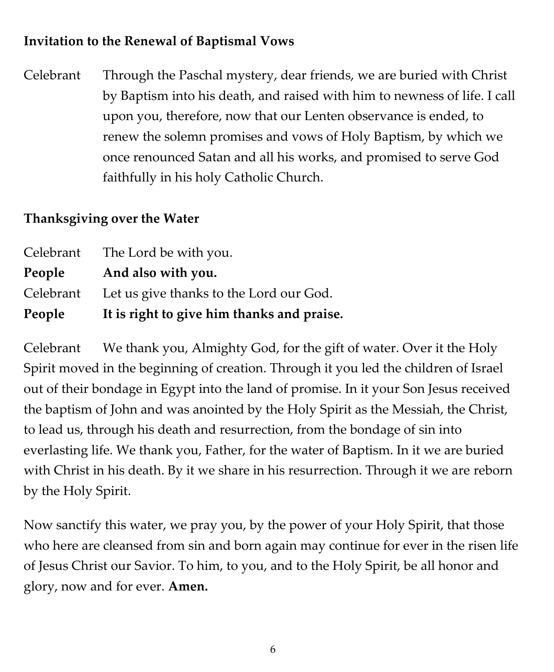# **Invitation to the Renewal of Baptismal Vows**

Celebrant Through the Paschal mystery, dear friends, we are buried with Christ by Baptism into his death, and raised with him to newness of life. I call upon you, therefore, now that our Lenten observance is ended, to renew the solemn promises and vows of Holy Baptism, by which we once renounced Satan and all his works, and promised to serve God faithfully in his holy Catholic Church.

## **Thanksgiving over the Water**

| People    | It is right to give him thanks and praise. |
|-----------|--------------------------------------------|
| Celebrant | Let us give thanks to the Lord our God.    |
| People    | And also with you.                         |
|           | Celebrant The Lord be with you.            |

Celebrant We thank you, Almighty God, for the gift of water. Over it the Holy Spirit moved in the beginning of creation. Through it you led the children of Israel out of their bondage in Egypt into the land of promise. In it your Son Jesus received the baptism of John and was anointed by the Holy Spirit as the Messiah, the Christ, to lead us, through his death and resurrection, from the bondage of sin into everlasting life. We thank you, Father, for the water of Baptism. In it we are buried with Christ in his death. By it we share in his resurrection. Through it we are reborn by the Holy Spirit.

Now sanctify this water, we pray you, by the power of your Holy Spirit, that those who here are cleansed from sin and born again may continue for ever in the risen life of Jesus Christ our Savior. To him, to you, and to the Holy Spirit, be all honor and glory, now and for ever. **Amen.**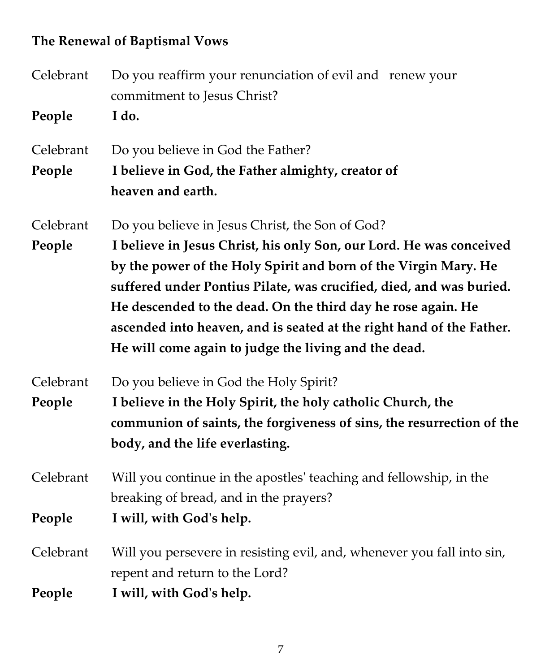# **The Renewal of Baptismal Vows**

| Celebrant | Do you reaffirm your renunciation of evil and renew your<br>commitment to Jesus Christ? |  |  |
|-----------|-----------------------------------------------------------------------------------------|--|--|
| People    | I do.                                                                                   |  |  |
| Celebrant | Do you believe in God the Father?                                                       |  |  |
| People    | I believe in God, the Father almighty, creator of                                       |  |  |
|           | heaven and earth.                                                                       |  |  |
| Celebrant | Do you believe in Jesus Christ, the Son of God?                                         |  |  |
| People    | I believe in Jesus Christ, his only Son, our Lord. He was conceived                     |  |  |
|           | by the power of the Holy Spirit and born of the Virgin Mary. He                         |  |  |
|           | suffered under Pontius Pilate, was crucified, died, and was buried.                     |  |  |
|           | He descended to the dead. On the third day he rose again. He                            |  |  |
|           | ascended into heaven, and is seated at the right hand of the Father.                    |  |  |
|           | He will come again to judge the living and the dead.                                    |  |  |
| Celebrant | Do you believe in God the Holy Spirit?                                                  |  |  |
| People    | I believe in the Holy Spirit, the holy catholic Church, the                             |  |  |
|           | communion of saints, the forgiveness of sins, the resurrection of the                   |  |  |
|           | body, and the life everlasting.                                                         |  |  |
| Celebrant | Will you continue in the apostles' teaching and fellowship, in the                      |  |  |
|           | breaking of bread, and in the prayers?                                                  |  |  |
| People    | I will, with God's help.                                                                |  |  |
| Celebrant | Will you persevere in resisting evil, and, whenever you fall into sin,                  |  |  |
|           | repent and return to the Lord?                                                          |  |  |
| People    | I will, with God's help.                                                                |  |  |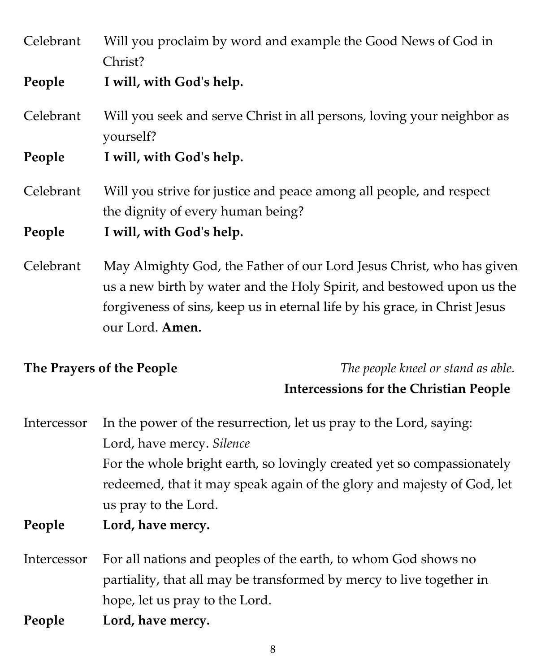Celebrant Will you proclaim by word and example the Good News of God in Christ?

**People I will, with God's help.**

Celebrant Will you seek and serve Christ in all persons, loving your neighbor as yourself?

**People I will, with God's help.**

Celebrant Will you strive for justice and peace among all people, and respect the dignity of every human being?

**People I will, with God's help.**

Celebrant May Almighty God, the Father of our Lord Jesus Christ, who has given us a new birth by water and the Holy Spirit, and bestowed upon us the forgiveness of sins, keep us in eternal life by his grace, in Christ Jesus our Lord. **Amen.**

**The Prayers of the People** *The people kneel or stand as able.*

### **Intercessions for the Christian People**

Intercessor In the power of the resurrection, let us pray to the Lord, saying: Lord, have mercy. *Silence* For the whole bright earth, so lovingly created yet so compassionately redeemed, that it may speak again of the glory and majesty of God, let us pray to the Lord.

- **People Lord, have mercy.**
- Intercessor For all nations and peoples of the earth, to whom God shows no partiality, that all may be transformed by mercy to live together in hope, let us pray to the Lord.
- **People Lord, have mercy.**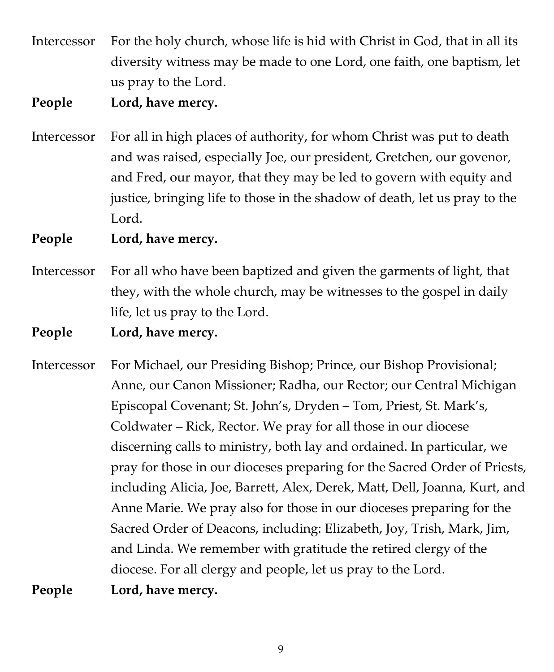Intercessor For the holy church, whose life is hid with Christ in God, that in all its diversity witness may be made to one Lord, one faith, one baptism, let us pray to the Lord.

### **People Lord, have mercy.**

Intercessor For all in high places of authority, for whom Christ was put to death and was raised, especially Joe, our president, Gretchen, our govenor, and Fred, our mayor, that they may be led to govern with equity and justice, bringing life to those in the shadow of death, let us pray to the Lord.

**People Lord, have mercy.**

- Intercessor For all who have been baptized and given the garments of light, that they, with the whole church, may be witnesses to the gospel in daily life, let us pray to the Lord.
- **People Lord, have mercy.**
- Intercessor For Michael, our Presiding Bishop; Prince, our Bishop Provisional; Anne, our Canon Missioner; Radha, our Rector; our Central Michigan Episcopal Covenant; St. John's, Dryden – Tom, Priest, St. Mark's, Coldwater – Rick, Rector. We pray for all those in our diocese discerning calls to ministry, both lay and ordained. In particular, we pray for those in our dioceses preparing for the Sacred Order of Priests, including Alicia, Joe, Barrett, Alex, Derek, Matt, Dell, Joanna, Kurt, and Anne Marie. We pray also for those in our dioceses preparing for the Sacred Order of Deacons, including: Elizabeth, Joy, Trish, Mark, Jim, and Linda. We remember with gratitude the retired clergy of the diocese. For all clergy and people, let us pray to the Lord.

**People Lord, have mercy.**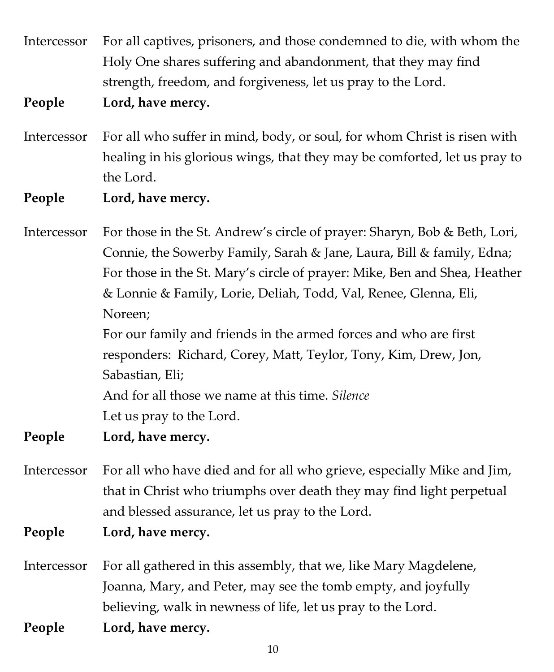Intercessor For all captives, prisoners, and those condemned to die, with whom the Holy One shares suffering and abandonment, that they may find strength, freedom, and forgiveness, let us pray to the Lord.

**People Lord, have mercy.**

- Intercessor For all who suffer in mind, body, or soul, for whom Christ is risen with healing in his glorious wings, that they may be comforted, let us pray to the Lord.
- **People Lord, have mercy.**

Intercessor For those in the St. Andrew's circle of prayer: Sharyn, Bob & Beth, Lori, Connie, the Sowerby Family, Sarah & Jane, Laura, Bill & family, Edna; For those in the St. Mary's circle of prayer: Mike, Ben and Shea, Heather & Lonnie & Family, Lorie, Deliah, Todd, Val, Renee, Glenna, Eli, Noreen; For our family and friends in the armed forces and who are first responders: Richard, Corey, Matt, Teylor, Tony, Kim, Drew, Jon, Sabastian, Eli; And for all those we name at this time. *Silence* Let us pray to the Lord.

- **People Lord, have mercy.**
- Intercessor For all who have died and for all who grieve, especially Mike and Jim, that in Christ who triumphs over death they may find light perpetual and blessed assurance, let us pray to the Lord.
- **People Lord, have mercy.**
- Intercessor For all gathered in this assembly, that we, like Mary Magdelene, Joanna, Mary, and Peter, may see the tomb empty, and joyfully believing, walk in newness of life, let us pray to the Lord.
- **People Lord, have mercy.**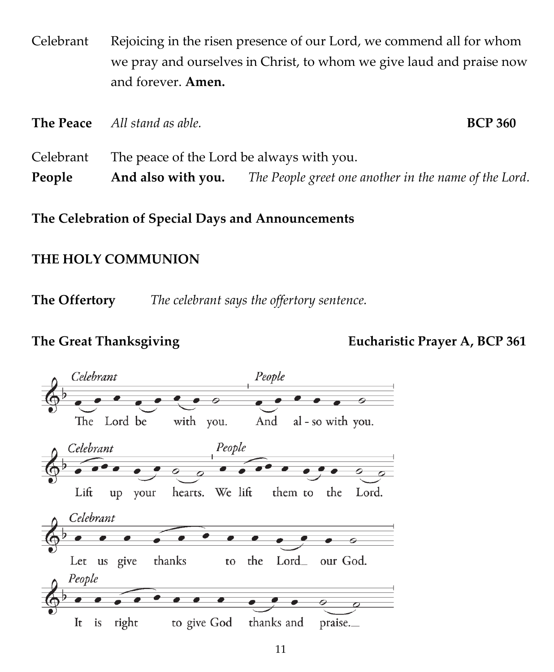Celebrant Rejoicing in the risen presence of our Lord, we commend all for whom we pray and ourselves in Christ, to whom we give laud and praise now and forever. **Amen.**

|           | <b>The Peace</b> All stand as able.       | <b>BCP 360</b>                                        |  |
|-----------|-------------------------------------------|-------------------------------------------------------|--|
| Celebrant | The peace of the Lord be always with you. |                                                       |  |
| People    | And also with you.                        | The People greet one another in the name of the Lord. |  |

**The Celebration of Special Days and Announcements**

## **THE HOLY COMMUNION**

**The Offertory** *The celebrant says the offertory sentence.*

**The Great Thanksgiving Eucharistic Prayer A, BCP 361**

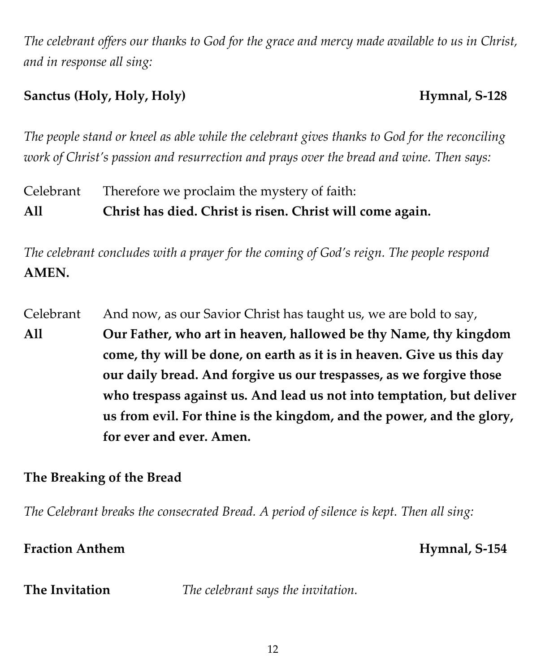*The celebrant offers our thanks to God for the grace and mercy made available to us in Christ, and in response all sing:*

# **Sanctus (Holy, Holy, Holy) Hymnal, S-128**

*The people stand or kneel as able while the celebrant gives thanks to God for the reconciling work of Christ's passion and resurrection and prays over the bread and wine. Then says:*

Celebrant Therefore we proclaim the mystery of faith: **All Christ has died. Christ is risen. Christ will come again.**

*The celebrant concludes with a prayer for the coming of God's reign. The people respond* **AMEN.**

Celebrant And now, as our Savior Christ has taught us, we are bold to say, **All Our Father, who art in heaven, hallowed be thy Name, thy kingdom come, thy will be done, on earth as it is in heaven. Give us this day our daily bread. And forgive us our trespasses, as we forgive those who trespass against us. And lead us not into temptation, but deliver us from evil. For thine is the kingdom, and the power, and the glory, for ever and ever. Amen.**

# **The Breaking of the Bread**

*The Celebrant breaks the consecrated Bread. A period of silence is kept. Then all sing:*

# **Fraction Anthem Hymnal, S-154**

**The Invitation** *The celebrant says the invitation.*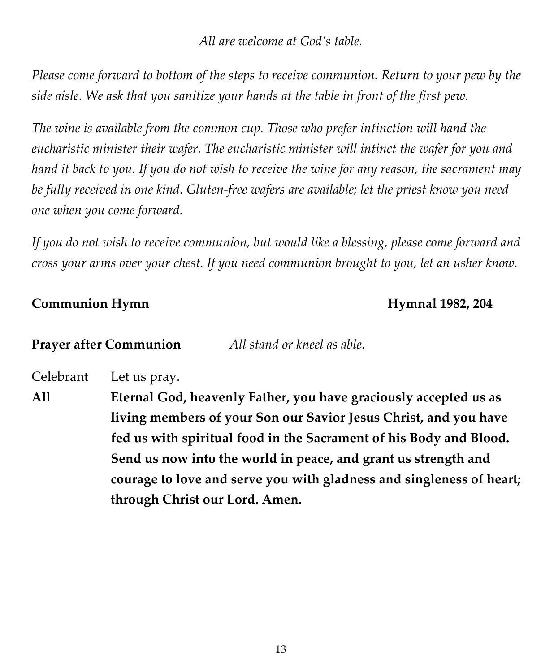*All are welcome at God's table.*

*Please come forward to bottom of the steps to receive communion. Return to your pew by the side aisle. We ask that you sanitize your hands at the table in front of the first pew.*

*The wine is available from the common cup. Those who prefer intinction will hand the eucharistic minister their wafer. The eucharistic minister will intinct the wafer for you and hand it back to you. If you do not wish to receive the wine for any reason, the sacrament may be fully received in one kind. Gluten-free wafers are available; let the priest know you need one when you come forward.*

*If you do not wish to receive communion, but would like a blessing, please come forward and cross your arms over your chest. If you need communion brought to you, let an usher know.*

### **Communion Hymn Hymnal 1982, 204**

**Prayer after Communion** *All stand or kneel as able.*

Celebrant Let us pray.

**All Eternal God, heavenly Father, you have graciously accepted us as living members of your Son our Savior Jesus Christ, and you have fed us with spiritual food in the Sacrament of his Body and Blood. Send us now into the world in peace, and grant us strength and courage to love and serve you with gladness and singleness of heart; through Christ our Lord. Amen.**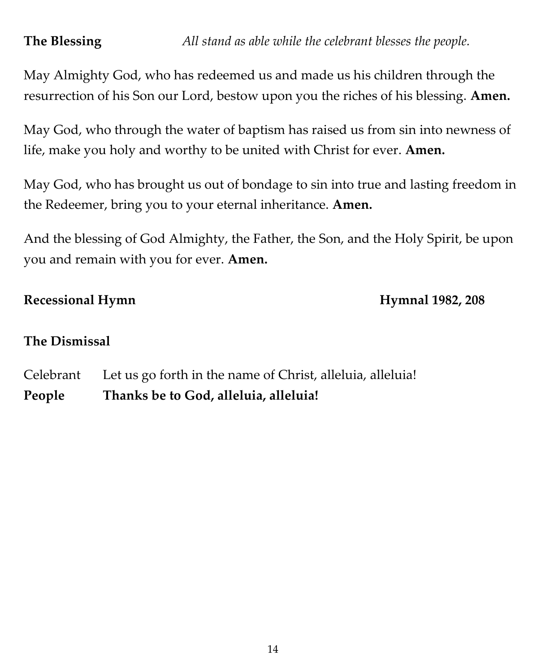May Almighty God, who has redeemed us and made us his children through the resurrection of his Son our Lord, bestow upon you the riches of his blessing. **Amen.**

May God, who through the water of baptism has raised us from sin into newness of life, make you holy and worthy to be united with Christ for ever. **Amen.** 

May God, who has brought us out of bondage to sin into true and lasting freedom in the Redeemer, bring you to your eternal inheritance. **Amen.**

And the blessing of God Almighty, the Father, the Son, and the Holy Spirit, be upon you and remain with you for ever. **Amen.** 

## Recessional Hymn<br>
Hymnal 1982, 208

# **The Dismissal**

Celebrant Let us go forth in the name of Christ, alleluia, alleluia! **People Thanks be to God, alleluia, alleluia!**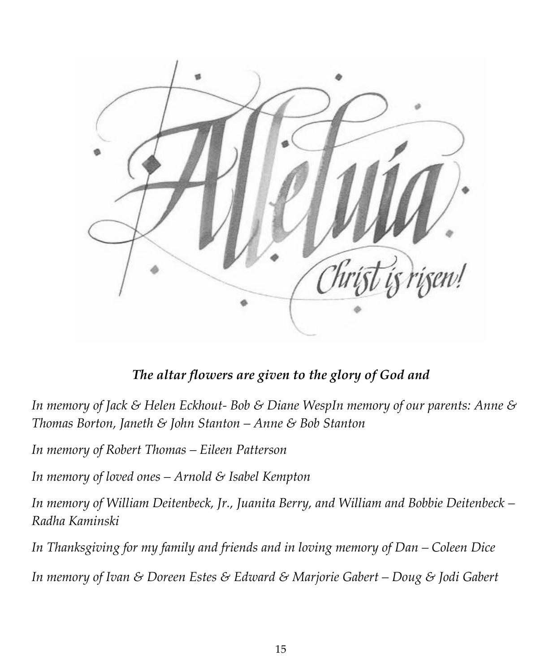

*The altar flowers are given to the glory of God and*

*In memory of Jack & Helen Eckhout- Bob & Diane WespIn memory of our parents: Anne & Thomas Borton, Janeth & John Stanton – Anne & Bob Stanton*

*In memory of Robert Thomas – Eileen Patterson*

*In memory of loved ones – Arnold & Isabel Kempton*

*In memory of William Deitenbeck, Jr., Juanita Berry, and William and Bobbie Deitenbeck – Radha Kaminski*

*In Thanksgiving for my family and friends and in loving memory of Dan – Coleen Dice*

*In memory of Ivan & Doreen Estes & Edward & Marjorie Gabert – Doug & Jodi Gabert*